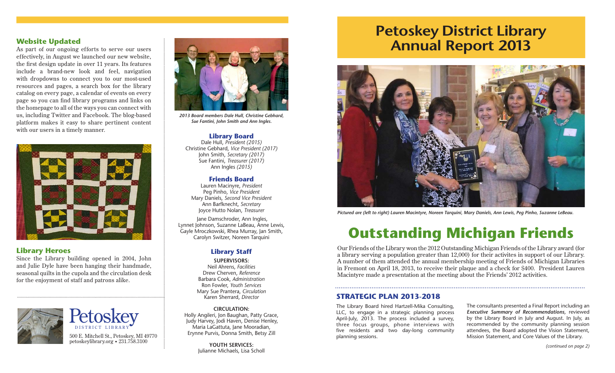## **Website Updated**

As part of our ongoing efforts to serve our users effectively, in August we launched our new website, the first design update in over 11 years. Its features include a brand-new look and feel, navigation with dropdowns to connect you to our most-used resources and pages, a search box for the library catalog on every page, a calendar of events on every page so you can find library programs and links on the homepage to all of the ways you can connect with us, including Twitter and Facebook. The blog-based platform makes it easy to share pertinent content with our users in a timely manner.



## **Library Heroes**

Since the Library building opened in 2004, John and Julie Dyle have been hanging their handmade, seasonal quilts in the cupola and the circulation desk for the enjoyment of staff and patrons alike.



500 E. Mitchell St., Petoskey, MI 49770 planning sessions.<br>
petoskeylibrary.org • 231.758.3100 planning sessions. DISTRICT LIBRARY **Petoskey** 



*2013 Board members Dale Hull, Christine Gebhard, Sue Fantini, John Smith and Ann Ingles.*

### **Library Board**

Dale Hull, *President (2015)* Christine Gebhard, *Vice President (2017)* John Smith, *Secretary (2017)* Sue Fantini, *Treasurer (2017)* Ann Ingles *(2015)*

#### **Friends Board**

Lauren Macinyre, *President* Peg Pinho, *Vice President* Mary Daniels, *Second Vice President* Ann Barfknecht, *Secretary* Joyce Hutto Nolan, *Treasurer*

 Jane Damschroder, Ann Ingles, Lynnet Johnson, Suzanne LaBeau, Anne Lewis, Gayle Mroczkowski, Rhea Murray, Jan Smith, Carolyn Switzer, Noreen Tarquini

## **Library Staff**

**SUPERVISORS:** Neil Ahrens, *Facilities* Drew Cherven, *Reference* Barbara Cook, *Administration* Ron Fowler, *Youth Services* Mary Sue Prantera, *Circulation* Karen Sherrard, *Director*

**CIRCULATION:** Holly Angileri, Jon Baughan, Patty Grace, Judy Harvey, Jodi Haven, Denise Henley, Maria LaGattuta, Jane Mooradian, Erynne Purvis, Donna Smith, Betsy Zill

> **YOUTH SERVICES:**  Julianne Michaels, Lisa Scholl

# **Petoskey District Library Annual Report 2013**



*Pictured are (left to right) Lauren Macintyre, Noreen Tarquini, Mary Daniels, Ann Lewis, Peg Pinho, Suzanne LeBeau.*

# **Outstanding Michigan Friends**

Our Friends of the Library won the 2012 Outstanding Michigan Friends of the Library award (for a library serving a population greater than 12,000) for their activites in support of our Library. A number of them attended the annual membership meeting of Friends of Michigan Libraries in Fremont on April 18, 2013, to receive their plaque and a check for \$400. President Lauren Macintyre made a presentation at the meeting about the Friends' 2012 activities.

## **STRATEGIC PLAN 2013-2018**

The Library Board hired Hartzell-Mika Consulting, LLC, to engage in a strategic planning process April-July, 2013. The process included a survey, three focus groups, phone interviews with five residents and two day-long community The consultants presented a Final Report including an *Executive Summary of Recommendations,* reviewed by the Library Board in July and August. In July, as recommended by the community planning session attendees, the Board adopted the Vision Statement, Mission Statement, and Core Values of the Library.